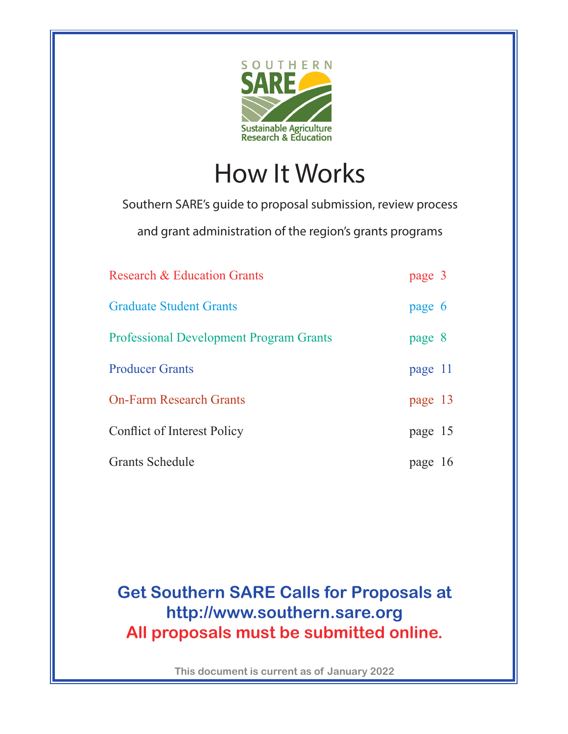

How It Works

Southern SARE's guide to proposal submission, review process

and grant administration of the region's grants programs

| Research & Education Grants                    | page 3  |  |
|------------------------------------------------|---------|--|
| <b>Graduate Student Grants</b>                 | page 6  |  |
| <b>Professional Development Program Grants</b> | page 8  |  |
| <b>Producer Grants</b>                         | page 11 |  |
| <b>On-Farm Research Grants</b>                 | page 13 |  |
| Conflict of Interest Policy                    | page 15 |  |
| Grants Schedule                                | page 16 |  |

## **Get Southern SARE Calls for Proposals at http://www.southern.sare.org All proposals must be submitted online.**

**This document is current as of January 2022**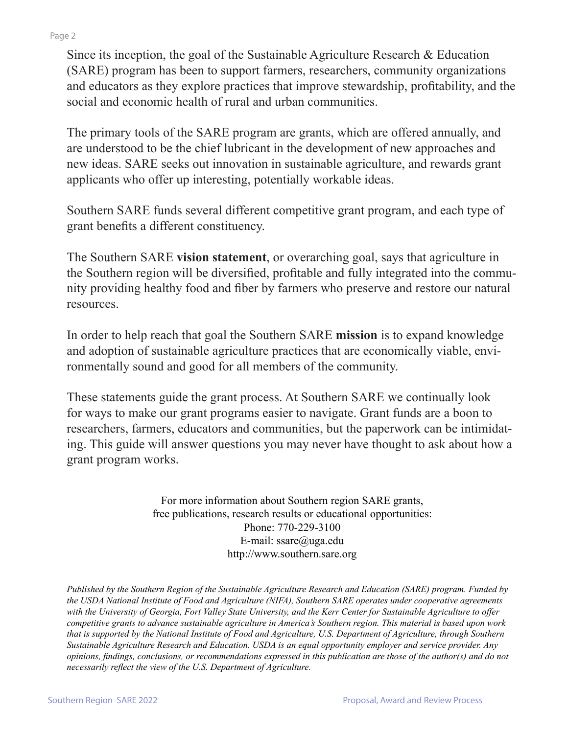## Page 2

Since its inception, the goal of the Sustainable Agriculture Research & Education (SARE) program has been to support farmers, researchers, community organizations and educators as they explore practices that improve stewardship, profitability, and the social and economic health of rural and urban communities.

The primary tools of the SARE program are grants, which are offered annually, and are understood to be the chief lubricant in the development of new approaches and new ideas. SARE seeks out innovation in sustainable agriculture, and rewards grant applicants who offer up interesting, potentially workable ideas.

Southern SARE funds several different competitive grant program, and each type of grant benefits a different constituency.

The Southern SARE **vision statement**, or overarching goal, says that agriculture in the Southern region will be diversified, profitable and fully integrated into the community providing healthy food and fiber by farmers who preserve and restore our natural resources.

In order to help reach that goal the Southern SARE **mission** is to expand knowledge and adoption of sustainable agriculture practices that are economically viable, environmentally sound and good for all members of the community.

These statements guide the grant process. At Southern SARE we continually look for ways to make our grant programs easier to navigate. Grant funds are a boon to researchers, farmers, educators and communities, but the paperwork can be intimidating. This guide will answer questions you may never have thought to ask about how a grant program works.

> For more information about Southern region SARE grants, free publications, research results or educational opportunities: Phone: 770-229-3100 E-mail: ssare@uga.edu http://www.southern.sare.org

*Published by the Southern Region of the Sustainable Agriculture Research and Education (SARE) program. Funded by the USDA National Institute of Food and Agriculture (NIFA), Southern SARE operates under cooperative agreements with the University of Georgia, Fort Valley State University, and the Kerr Center for Sustainable Agriculture to offer competitive grants to advance sustainable agriculture in America's Southern region. This material is based upon work that is supported by the National Institute of Food and Agriculture, U.S. Department of Agriculture, through Southern Sustainable Agriculture Research and Education. USDA is an equal opportunity employer and service provider. Any opinions, findings, conclusions, or recommendations expressed in this publication are those of the author(s) and do not necessarily reflect the view of the U.S. Department of Agriculture.*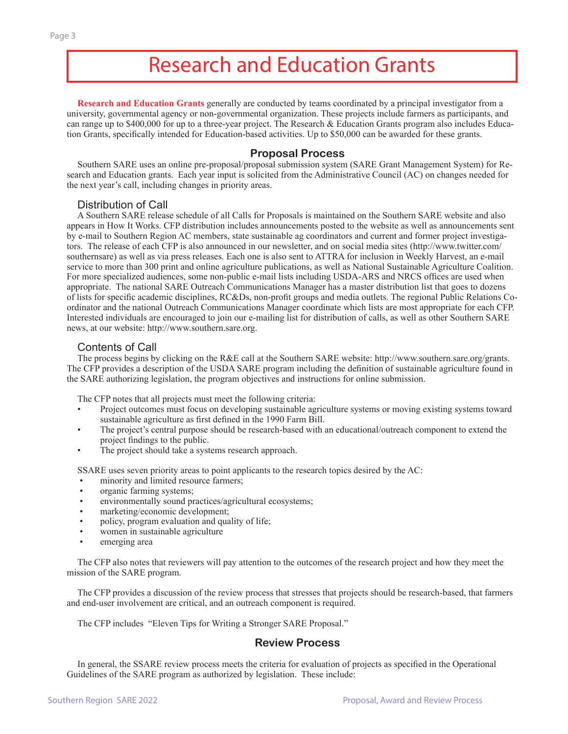## Research and Education Grants

**Research and Education Grants** generally are conducted by teams coordinated by a principal investigator from a university, governmental agency or non-governmental organization. These projects include farmers as participants, and can range up to  $$400,000$  for up to a three-year project. The Research & Education Grants program also includes Education Grants, specifically intended for Education-based activities. Up to \$50,000 can be awarded for these grants.

## **Proposal Process**

Southern SARE uses an online pre-proposal/proposal submission system (SARE Grant Management System) for Research and Education grants. Each year input is solicited from the Administrative Council (AC) on changes needed for the next year's call, including changes in priority areas.

## Distribution of Call

A Southern SARE release schedule of all Calls for Proposals is maintained on the Southern SARE website and also appears in How It Works. CFP distribution includes announcements posted to the website as well as announcements sent by e-mail to Southern Region AC members, state sustainable ag coordinators and current and former project investigators. The release of each CFP is also announced in our newsletter, and on social media sites (http://www.twitter.com/ southernsare) as well as via press releases. Each one is also sent to ATTRA for inclusion in Weekly Harvest, an e-mail service to more than 300 print and online agriculture publications, as well as National Sustainable Agriculture Coalition. For more specialized audiences, some non-public e-mail lists including USDA-ARS and NRCS offices are used when appropriate. The national SARE Outreach Communications Manager has a master distribution list that goes to dozens of lists for specific academic disciplines, RC&Ds, non-profit groups and media outlets. The regional Public Relations Coordinator and the national Outreach Communications Manager coordinate which lists are most appropriate for each CFP. Interested individuals are encouraged to join our e-mailing list for distribution of calls, as well as other Southern SARE news, at our website: http://www.southern.sare.org.

## Contents of Call

The process begins by clicking on the R&E call at the Southern SARE website: http://www.southern.sare.org/grants. The CFP provides a description of the USDA SARE program including the definition of sustainable agriculture found in the SARE authorizing legislation, the program objectives and instructions for online submission.

The CFP notes that all projects must meet the following criteria:

- Project outcomes must focus on developing sustainable agriculture systems or moving existing systems toward sustainable agriculture as first defined in the 1990 Farm Bill.
- The project's central purpose should be research-based with an educational/outreach component to extend the project findings to the public.
- The project should take a systems research approach.

SSARE uses seven priority areas to point applicants to the research topics desired by the AC:

- minority and limited resource farmers;
- organic farming systems;
- environmentally sound practices/agricultural ecosystems;
- marketing/economic development;
- policy, program evaluation and quality of life;
- women in sustainable agriculture
- emerging area

The CFP also notes that reviewers will pay attention to the outcomes of the research project and how they meet the mission of the SARE program.

The CFP provides a discussion of the review process that stresses that projects should be research-based, that farmers and end-user involvement are critical, and an outreach component is required.

The CFP includes "Eleven Tips for Writing a Stronger SARE Proposal."

## **Review Process**

In general, the SSARE review process meets the criteria for evaluation of projects as specified in the Operational Guidelines of the SARE program as authorized by legislation. These include: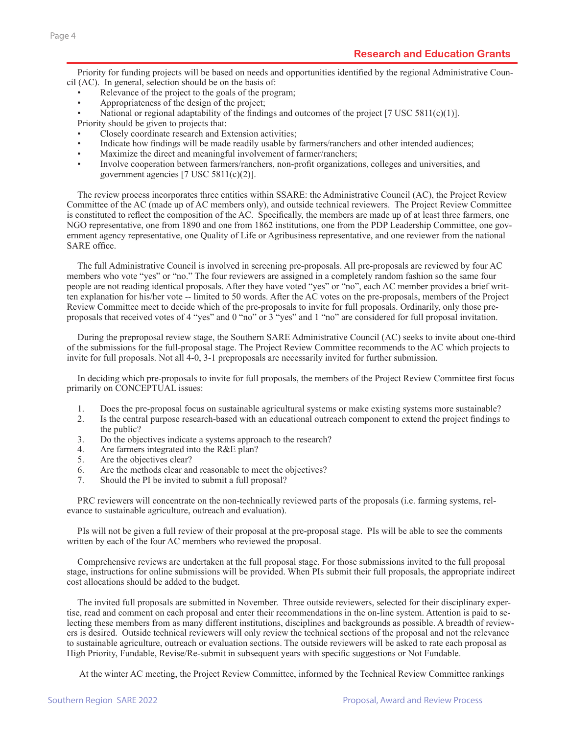Priority for funding projects will be based on needs and opportunities identified by the regional Administrative Council (AC). In general, selection should be on the basis of:

- Relevance of the project to the goals of the program;
- Appropriateness of the design of the project;

National or regional adaptability of the findings and outcomes of the project  $[7 \text{ USC } 5811(c)(1)]$ .

Priority should be given to projects that:

- Closely coordinate research and Extension activities;
- Indicate how findings will be made readily usable by farmers/ranchers and other intended audiences;
- Maximize the direct and meaningful involvement of farmer/ranchers;
- Involve cooperation between farmers/ranchers, non-profit organizations, colleges and universities, and government agencies [7 USC 5811(c)(2)].

The review process incorporates three entities within SSARE: the Administrative Council (AC), the Project Review Committee of the AC (made up of AC members only), and outside technical reviewers. The Project Review Committee is constituted to reflect the composition of the AC. Specifically, the members are made up of at least three farmers, one NGO representative, one from 1890 and one from 1862 institutions, one from the PDP Leadership Committee, one government agency representative, one Quality of Life or Agribusiness representative, and one reviewer from the national SARE office.

The full Administrative Council is involved in screening pre-proposals. All pre-proposals are reviewed by four AC members who vote "yes" or "no." The four reviewers are assigned in a completely random fashion so the same four people are not reading identical proposals. After they have voted "yes" or "no", each AC member provides a brief written explanation for his/her vote -- limited to 50 words. After the AC votes on the pre-proposals, members of the Project Review Committee meet to decide which of the pre-proposals to invite for full proposals. Ordinarily, only those preproposals that received votes of 4 "yes" and 0 "no" or 3 "yes" and 1 "no" are considered for full proposal invitation.

During the preproposal review stage, the Southern SARE Administrative Council (AC) seeks to invite about one-third of the submissions for the full-proposal stage. The Project Review Committee recommends to the AC which projects to invite for full proposals. Not all 4-0, 3-1 preproposals are necessarily invited for further submission.

In deciding which pre-proposals to invite for full proposals, the members of the Project Review Committee first focus primarily on CONCEPTUAL issues:

- 1. Does the pre-proposal focus on sustainable agricultural systems or make existing systems more sustainable?
- 2. Is the central purpose research-based with an educational outreach component to extend the project findings to the public?
- 3. Do the objectives indicate a systems approach to the research?
- 4. Are farmers integrated into the R&E plan?
- 5. Are the objectives clear?
- 6. Are the methods clear and reasonable to meet the objectives?
- 7. Should the PI be invited to submit a full proposal?

PRC reviewers will concentrate on the non-technically reviewed parts of the proposals (i.e. farming systems, relevance to sustainable agriculture, outreach and evaluation).

PIs will not be given a full review of their proposal at the pre-proposal stage. PIs will be able to see the comments written by each of the four AC members who reviewed the proposal.

Comprehensive reviews are undertaken at the full proposal stage. For those submissions invited to the full proposal stage, instructions for online submissions will be provided. When PIs submit their full proposals, the appropriate indirect cost allocations should be added to the budget.

The invited full proposals are submitted in November. Three outside reviewers, selected for their disciplinary expertise, read and comment on each proposal and enter their recommendations in the on-line system. Attention is paid to selecting these members from as many different institutions, disciplines and backgrounds as possible. A breadth of reviewers is desired. Outside technical reviewers will only review the technical sections of the proposal and not the relevance to sustainable agriculture, outreach or evaluation sections. The outside reviewers will be asked to rate each proposal as High Priority, Fundable, Revise/Re-submit in subsequent years with specific suggestions or Not Fundable.

At the winter AC meeting, the Project Review Committee, informed by the Technical Review Committee rankings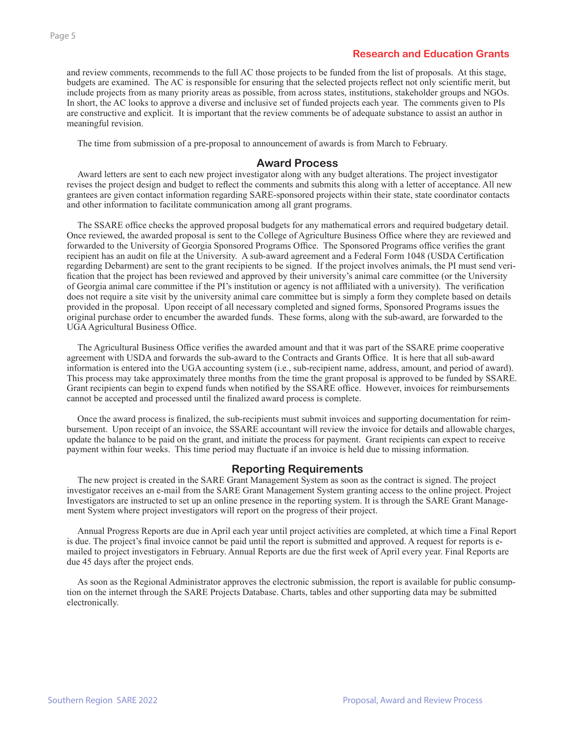## **Research and Education Grants**

and review comments, recommends to the full AC those projects to be funded from the list of proposals. At this stage, budgets are examined. The AC is responsible for ensuring that the selected projects reflect not only scientific merit, but include projects from as many priority areas as possible, from across states, institutions, stakeholder groups and NGOs. In short, the AC looks to approve a diverse and inclusive set of funded projects each year. The comments given to PIs are constructive and explicit. It is important that the review comments be of adequate substance to assist an author in meaningful revision.

The time from submission of a pre-proposal to announcement of awards is from March to February.

### **Award Process**

Award letters are sent to each new project investigator along with any budget alterations. The project investigator revises the project design and budget to reflect the comments and submits this along with a letter of acceptance. All new grantees are given contact information regarding SARE-sponsored projects within their state, state coordinator contacts and other information to facilitate communication among all grant programs.

The SSARE office checks the approved proposal budgets for any mathematical errors and required budgetary detail. Once reviewed, the awarded proposal is sent to the College of Agriculture Business Office where they are reviewed and forwarded to the University of Georgia Sponsored Programs Office. The Sponsored Programs office verifies the grant recipient has an audit on file at the University. A sub-award agreement and a Federal Form 1048 (USDA Certification regarding Debarment) are sent to the grant recipients to be signed. If the project involves animals, the PI must send verification that the project has been reviewed and approved by their university's animal care committee (or the University of Georgia animal care committee if the PI's institution or agency is not affliliated with a university). The verification does not require a site visit by the university animal care committee but is simply a form they complete based on details provided in the proposal. Upon receipt of all necessary completed and signed forms, Sponsored Programs issues the original purchase order to encumber the awarded funds. These forms, along with the sub-award, are forwarded to the UGA Agricultural Business Office.

The Agricultural Business Office verifies the awarded amount and that it was part of the SSARE prime cooperative agreement with USDA and forwards the sub-award to the Contracts and Grants Office. It is here that all sub-award information is entered into the UGA accounting system (i.e., sub-recipient name, address, amount, and period of award). This process may take approximately three months from the time the grant proposal is approved to be funded by SSARE. Grant recipients can begin to expend funds when notified by the SSARE office. However, invoices for reimbursements cannot be accepted and processed until the finalized award process is complete.

Once the award process is finalized, the sub-recipients must submit invoices and supporting documentation for reimbursement. Upon receipt of an invoice, the SSARE accountant will review the invoice for details and allowable charges, update the balance to be paid on the grant, and initiate the process for payment. Grant recipients can expect to receive payment within four weeks. This time period may fluctuate if an invoice is held due to missing information.

## **Reporting Requirements**

The new project is created in the SARE Grant Management System as soon as the contract is signed. The project investigator receives an e-mail from the SARE Grant Management System granting access to the online project. Project Investigators are instructed to set up an online presence in the reporting system. It is through the SARE Grant Management System where project investigators will report on the progress of their project.

Annual Progress Reports are due in April each year until project activities are completed, at which time a Final Report is due. The project's final invoice cannot be paid until the report is submitted and approved. A request for reports is emailed to project investigators in February. Annual Reports are due the first week of April every year. Final Reports are due 45 days after the project ends.

As soon as the Regional Administrator approves the electronic submission, the report is available for public consumption on the internet through the SARE Projects Database. Charts, tables and other supporting data may be submitted electronically.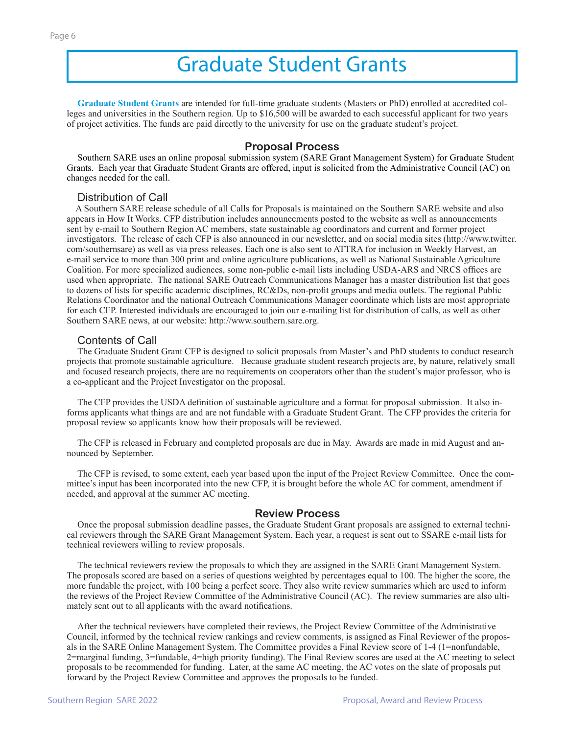## Graduate Student Grants

**Graduate Student Grants** are intended for full-time graduate students (Masters or PhD) enrolled at accredited colleges and universities in the Southern region. Up to \$16,500 will be awarded to each successful applicant for two years of project activities. The funds are paid directly to the university for use on the graduate student's project.

### **Proposal Process**

Southern SARE uses an online proposal submission system (SARE Grant Management System) for Graduate Student Grants. Each year that Graduate Student Grants are offered, input is solicited from the Administrative Council (AC) on changes needed for the call.

### Distribution of Call

 A Southern SARE release schedule of all Calls for Proposals is maintained on the Southern SARE website and also appears in How It Works. CFP distribution includes announcements posted to the website as well as announcements sent by e-mail to Southern Region AC members, state sustainable ag coordinators and current and former project investigators. The release of each CFP is also announced in our newsletter, and on social media sites (http://www.twitter. com/southernsare) as well as via press releases. Each one is also sent to ATTRA for inclusion in Weekly Harvest, an e-mail service to more than 300 print and online agriculture publications, as well as National Sustainable Agriculture Coalition. For more specialized audiences, some non-public e-mail lists including USDA-ARS and NRCS offices are used when appropriate. The national SARE Outreach Communications Manager has a master distribution list that goes to dozens of lists for specific academic disciplines, RC&Ds, non-profit groups and media outlets. The regional Public Relations Coordinator and the national Outreach Communications Manager coordinate which lists are most appropriate for each CFP. Interested individuals are encouraged to join our e-mailing list for distribution of calls, as well as other Southern SARE news, at our website: http://www.southern.sare.org.

### Contents of Call

The Graduate Student Grant CFP is designed to solicit proposals from Master's and PhD students to conduct research projects that promote sustainable agriculture. Because graduate student research projects are, by nature, relatively small and focused research projects, there are no requirements on cooperators other than the student's major professor, who is a co-applicant and the Project Investigator on the proposal.

The CFP provides the USDA definition of sustainable agriculture and a format for proposal submission. It also informs applicants what things are and are not fundable with a Graduate Student Grant. The CFP provides the criteria for proposal review so applicants know how their proposals will be reviewed.

The CFP is released in February and completed proposals are due in May. Awards are made in mid August and announced by September.

The CFP is revised, to some extent, each year based upon the input of the Project Review Committee. Once the committee's input has been incorporated into the new CFP, it is brought before the whole AC for comment, amendment if needed, and approval at the summer AC meeting.

### **Review Process**

Once the proposal submission deadline passes, the Graduate Student Grant proposals are assigned to external technical reviewers through the SARE Grant Management System. Each year, a request is sent out to SSARE e-mail lists for technical reviewers willing to review proposals.

The technical reviewers review the proposals to which they are assigned in the SARE Grant Management System. The proposals scored are based on a series of questions weighted by percentages equal to 100. The higher the score, the more fundable the project, with 100 being a perfect score. They also write review summaries which are used to inform the reviews of the Project Review Committee of the Administrative Council (AC). The review summaries are also ultimately sent out to all applicants with the award notifications.

After the technical reviewers have completed their reviews, the Project Review Committee of the Administrative Council, informed by the technical review rankings and review comments, is assigned as Final Reviewer of the proposals in the SARE Online Management System. The Committee provides a Final Review score of 1-4 (1=nonfundable, 2=marginal funding, 3=fundable, 4=high priority funding). The Final Review scores are used at the AC meeting to select proposals to be recommended for funding. Later, at the same AC meeting, the AC votes on the slate of proposals put forward by the Project Review Committee and approves the proposals to be funded.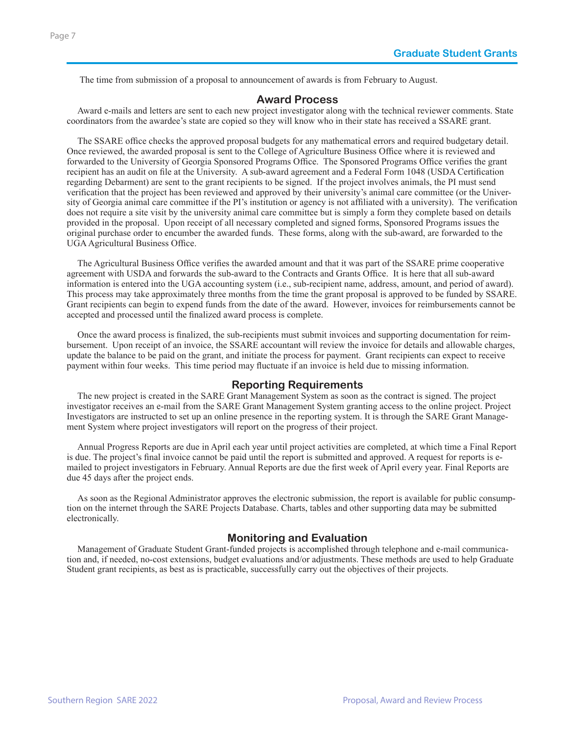The time from submission of a proposal to announcement of awards is from February to August.

### **Award Process**

Award e-mails and letters are sent to each new project investigator along with the technical reviewer comments. State coordinators from the awardee's state are copied so they will know who in their state has received a SSARE grant.

The SSARE office checks the approved proposal budgets for any mathematical errors and required budgetary detail. Once reviewed, the awarded proposal is sent to the College of Agriculture Business Office where it is reviewed and forwarded to the University of Georgia Sponsored Programs Office. The Sponsored Programs Office verifies the grant recipient has an audit on file at the University. A sub-award agreement and a Federal Form 1048 (USDA Certification regarding Debarment) are sent to the grant recipients to be signed. If the project involves animals, the PI must send verification that the project has been reviewed and approved by their university's animal care committee (or the University of Georgia animal care committee if the PI's institution or agency is not affiliated with a university). The verification does not require a site visit by the university animal care committee but is simply a form they complete based on details provided in the proposal. Upon receipt of all necessary completed and signed forms, Sponsored Programs issues the original purchase order to encumber the awarded funds. These forms, along with the sub-award, are forwarded to the UGA Agricultural Business Office.

The Agricultural Business Office verifies the awarded amount and that it was part of the SSARE prime cooperative agreement with USDA and forwards the sub-award to the Contracts and Grants Office. It is here that all sub-award information is entered into the UGA accounting system (i.e., sub-recipient name, address, amount, and period of award). This process may take approximately three months from the time the grant proposal is approved to be funded by SSARE. Grant recipients can begin to expend funds from the date of the award. However, invoices for reimbursements cannot be accepted and processed until the finalized award process is complete.

Once the award process is finalized, the sub-recipients must submit invoices and supporting documentation for reimbursement. Upon receipt of an invoice, the SSARE accountant will review the invoice for details and allowable charges, update the balance to be paid on the grant, and initiate the process for payment. Grant recipients can expect to receive payment within four weeks. This time period may fluctuate if an invoice is held due to missing information.

## **Reporting Requirements**

The new project is created in the SARE Grant Management System as soon as the contract is signed. The project investigator receives an e-mail from the SARE Grant Management System granting access to the online project. Project Investigators are instructed to set up an online presence in the reporting system. It is through the SARE Grant Management System where project investigators will report on the progress of their project.

Annual Progress Reports are due in April each year until project activities are completed, at which time a Final Report is due. The project's final invoice cannot be paid until the report is submitted and approved. A request for reports is emailed to project investigators in February. Annual Reports are due the first week of April every year. Final Reports are due 45 days after the project ends.

As soon as the Regional Administrator approves the electronic submission, the report is available for public consumption on the internet through the SARE Projects Database. Charts, tables and other supporting data may be submitted electronically.

## **Monitoring and Evaluation**

Management of Graduate Student Grant-funded projects is accomplished through telephone and e-mail communication and, if needed, no-cost extensions, budget evaluations and/or adjustments. These methods are used to help Graduate Student grant recipients, as best as is practicable, successfully carry out the objectives of their projects.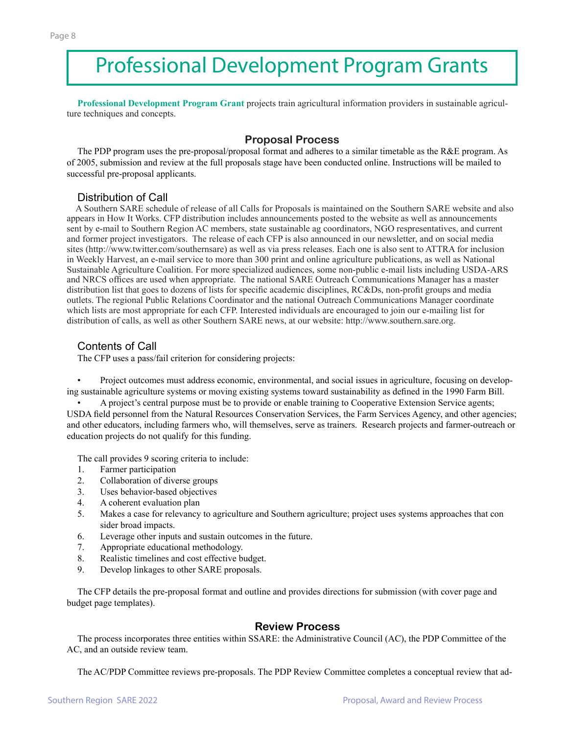## Professional Development Program Grants

**Professional Development Program Grant** projects train agricultural information providers in sustainable agriculture techniques and concepts.

## **Proposal Process**

The PDP program uses the pre-proposal/proposal format and adheres to a similar timetable as the R&E program. As of 2005, submission and review at the full proposals stage have been conducted online. Instructions will be mailed to successful pre-proposal applicants.

## Distribution of Call

 A Southern SARE schedule of release of all Calls for Proposals is maintained on the Southern SARE website and also appears in How It Works. CFP distribution includes announcements posted to the website as well as announcements sent by e-mail to Southern Region AC members, state sustainable ag coordinators, NGO respresentatives, and current and former project investigators. The release of each CFP is also announced in our newsletter, and on social media sites (http://www.twitter.com/southernsare) as well as via press releases. Each one is also sent to ATTRA for inclusion in Weekly Harvest, an e-mail service to more than 300 print and online agriculture publications, as well as National Sustainable Agriculture Coalition. For more specialized audiences, some non-public e-mail lists including USDA-ARS and NRCS offices are used when appropriate. The national SARE Outreach Communications Manager has a master distribution list that goes to dozens of lists for specific academic disciplines, RC&Ds, non-profit groups and media outlets. The regional Public Relations Coordinator and the national Outreach Communications Manager coordinate which lists are most appropriate for each CFP. Interested individuals are encouraged to join our e-mailing list for distribution of calls, as well as other Southern SARE news, at our website: http://www.southern.sare.org.

## Contents of Call

The CFP uses a pass/fail criterion for considering projects:

• Project outcomes must address economic, environmental, and social issues in agriculture, focusing on developing sustainable agriculture systems or moving existing systems toward sustainability as defined in the 1990 Farm Bill.

• A project's central purpose must be to provide or enable training to Cooperative Extension Service agents; USDA field personnel from the Natural Resources Conservation Services, the Farm Services Agency, and other agencies; and other educators, including farmers who, will themselves, serve as trainers. Research projects and farmer-outreach or education projects do not qualify for this funding.

The call provides 9 scoring criteria to include:

- 1. Farmer participation
- 2. Collaboration of diverse groups
- 3. Uses behavior-based objectives
- 4. A coherent evaluation plan
- 5. Makes a case for relevancy to agriculture and Southern agriculture; project uses systems approaches that con sider broad impacts.
- 6. Leverage other inputs and sustain outcomes in the future.
- 7. Appropriate educational methodology.
- 8. Realistic timelines and cost effective budget.
- 9. Develop linkages to other SARE proposals.

The CFP details the pre-proposal format and outline and provides directions for submission (with cover page and budget page templates).

## **Review Process**

The process incorporates three entities within SSARE: the Administrative Council (AC), the PDP Committee of the AC, and an outside review team.

The AC/PDP Committee reviews pre-proposals. The PDP Review Committee completes a conceptual review that ad-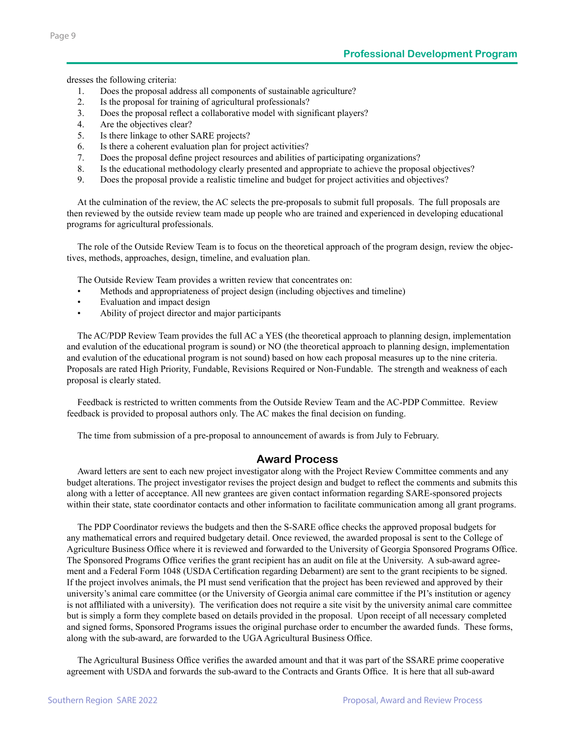dresses the following criteria:

- 1. Does the proposal address all components of sustainable agriculture?
- 2. Is the proposal for training of agricultural professionals?
- 3. Does the proposal reflect a collaborative model with significant players?
- 4. Are the objectives clear?
- 5. Is there linkage to other SARE projects?
- 6. Is there a coherent evaluation plan for project activities?
- 7. Does the proposal define project resources and abilities of participating organizations?
- 8. Is the educational methodology clearly presented and appropriate to achieve the proposal objectives?
- 9. Does the proposal provide a realistic timeline and budget for project activities and objectives?

At the culmination of the review, the AC selects the pre-proposals to submit full proposals. The full proposals are then reviewed by the outside review team made up people who are trained and experienced in developing educational programs for agricultural professionals.

The role of the Outside Review Team is to focus on the theoretical approach of the program design, review the objectives, methods, approaches, design, timeline, and evaluation plan.

The Outside Review Team provides a written review that concentrates on:

- Methods and appropriateness of project design (including objectives and timeline)
- Evaluation and impact design
- Ability of project director and major participants

The AC/PDP Review Team provides the full AC a YES (the theoretical approach to planning design, implementation and evalution of the educational program is sound) or NO (the theoretical approach to planning design, implementation and evalution of the educational program is not sound) based on how each proposal measures up to the nine criteria. Proposals are rated High Priority, Fundable, Revisions Required or Non-Fundable. The strength and weakness of each proposal is clearly stated.

Feedback is restricted to written comments from the Outside Review Team and the AC-PDP Committee. Review feedback is provided to proposal authors only. The AC makes the final decision on funding.

The time from submission of a pre-proposal to announcement of awards is from July to February.

## **Award Process**

Award letters are sent to each new project investigator along with the Project Review Committee comments and any budget alterations. The project investigator revises the project design and budget to reflect the comments and submits this along with a letter of acceptance. All new grantees are given contact information regarding SARE-sponsored projects within their state, state coordinator contacts and other information to facilitate communication among all grant programs.

The PDP Coordinator reviews the budgets and then the S-SARE office checks the approved proposal budgets for any mathematical errors and required budgetary detail. Once reviewed, the awarded proposal is sent to the College of Agriculture Business Office where it is reviewed and forwarded to the University of Georgia Sponsored Programs Office. The Sponsored Programs Office verifies the grant recipient has an audit on file at the University. A sub-award agreement and a Federal Form 1048 (USDA Certification regarding Debarment) are sent to the grant recipients to be signed. If the project involves animals, the PI must send verification that the project has been reviewed and approved by their university's animal care committee (or the University of Georgia animal care committee if the PI's institution or agency is not affliliated with a university). The verification does not require a site visit by the university animal care committee but is simply a form they complete based on details provided in the proposal. Upon receipt of all necessary completed and signed forms, Sponsored Programs issues the original purchase order to encumber the awarded funds. These forms, along with the sub-award, are forwarded to the UGA Agricultural Business Office.

The Agricultural Business Office verifies the awarded amount and that it was part of the SSARE prime cooperative agreement with USDA and forwards the sub-award to the Contracts and Grants Office. It is here that all sub-award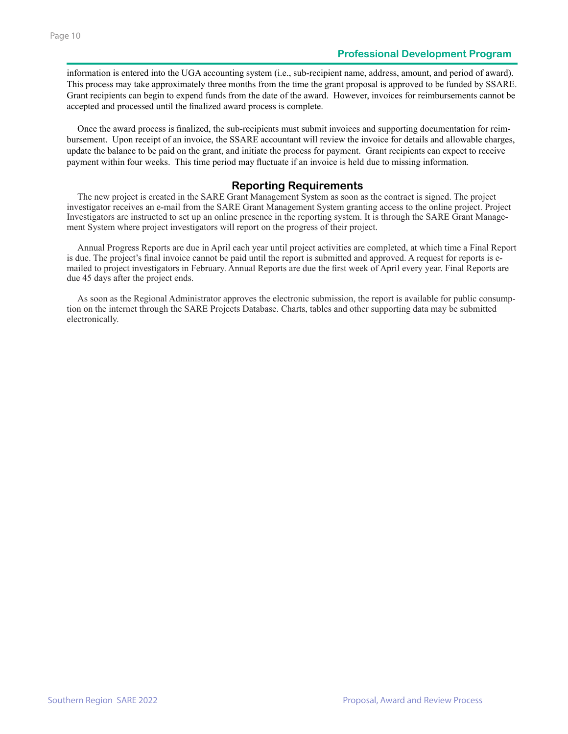information is entered into the UGA accounting system (i.e., sub-recipient name, address, amount, and period of award). This process may take approximately three months from the time the grant proposal is approved to be funded by SSARE. Grant recipients can begin to expend funds from the date of the award. However, invoices for reimbursements cannot be accepted and processed until the finalized award process is complete.

Once the award process is finalized, the sub-recipients must submit invoices and supporting documentation for reimbursement. Upon receipt of an invoice, the SSARE accountant will review the invoice for details and allowable charges, update the balance to be paid on the grant, and initiate the process for payment. Grant recipients can expect to receive payment within four weeks. This time period may fluctuate if an invoice is held due to missing information.

## **Reporting Requirements**

The new project is created in the SARE Grant Management System as soon as the contract is signed. The project investigator receives an e-mail from the SARE Grant Management System granting access to the online project. Project Investigators are instructed to set up an online presence in the reporting system. It is through the SARE Grant Management System where project investigators will report on the progress of their project.

Annual Progress Reports are due in April each year until project activities are completed, at which time a Final Report is due. The project's final invoice cannot be paid until the report is submitted and approved. A request for reports is emailed to project investigators in February. Annual Reports are due the first week of April every year. Final Reports are due 45 days after the project ends.

As soon as the Regional Administrator approves the electronic submission, the report is available for public consumption on the internet through the SARE Projects Database. Charts, tables and other supporting data may be submitted electronically.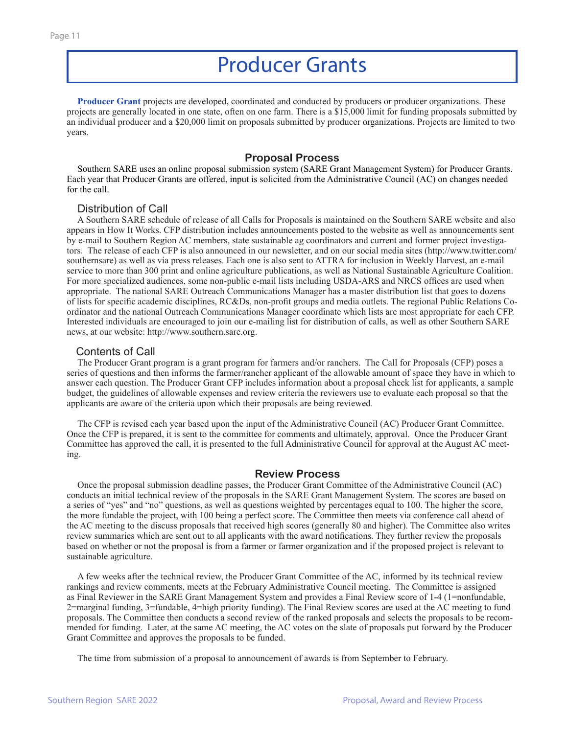## Producer Grants

**Producer Grant** projects are developed, coordinated and conducted by producers or producer organizations. These projects are generally located in one state, often on one farm. There is a \$15,000 limit for funding proposals submitted by an individual producer and a \$20,000 limit on proposals submitted by producer organizations. Projects are limited to two years.

#### **Proposal Process**

Southern SARE uses an online proposal submission system (SARE Grant Management System) for Producer Grants. Each year that Producer Grants are offered, input is solicited from the Administrative Council (AC) on changes needed for the call.

### Distribution of Call

A Southern SARE schedule of release of all Calls for Proposals is maintained on the Southern SARE website and also appears in How It Works. CFP distribution includes announcements posted to the website as well as announcements sent by e-mail to Southern Region AC members, state sustainable ag coordinators and current and former project investigators. The release of each CFP is also announced in our newsletter, and on our social media sites (http://www.twitter.com/ southernsare) as well as via press releases. Each one is also sent to ATTRA for inclusion in Weekly Harvest, an e-mail service to more than 300 print and online agriculture publications, as well as National Sustainable Agriculture Coalition. For more specialized audiences, some non-public e-mail lists including USDA-ARS and NRCS offices are used when appropriate. The national SARE Outreach Communications Manager has a master distribution list that goes to dozens of lists for specific academic disciplines, RC&Ds, non-profit groups and media outlets. The regional Public Relations Coordinator and the national Outreach Communications Manager coordinate which lists are most appropriate for each CFP. Interested individuals are encouraged to join our e-mailing list for distribution of calls, as well as other Southern SARE news, at our website: http://www.southern.sare.org.

#### Contents of Call

The Producer Grant program is a grant program for farmers and/or ranchers. The Call for Proposals (CFP) poses a series of questions and then informs the farmer/rancher applicant of the allowable amount of space they have in which to answer each question. The Producer Grant CFP includes information about a proposal check list for applicants, a sample budget, the guidelines of allowable expenses and review criteria the reviewers use to evaluate each proposal so that the applicants are aware of the criteria upon which their proposals are being reviewed.

The CFP is revised each year based upon the input of the Administrative Council (AC) Producer Grant Committee. Once the CFP is prepared, it is sent to the committee for comments and ultimately, approval. Once the Producer Grant Committee has approved the call, it is presented to the full Administrative Council for approval at the August AC meeting.

### **Review Process**

Once the proposal submission deadline passes, the Producer Grant Committee of the Administrative Council (AC) conducts an initial technical review of the proposals in the SARE Grant Management System. The scores are based on a series of "yes" and "no" questions, as well as questions weighted by percentages equal to 100. The higher the score, the more fundable the project, with 100 being a perfect score. The Committee then meets via conference call ahead of the AC meeting to the discuss proposals that received high scores (generally 80 and higher). The Committee also writes review summaries which are sent out to all applicants with the award notifications. They further review the proposals based on whether or not the proposal is from a farmer or farmer organization and if the proposed project is relevant to sustainable agriculture.

A few weeks after the technical review, the Producer Grant Committee of the AC, informed by its technical review rankings and review comments, meets at the February Administrative Council meeting. The Committee is assigned as Final Reviewer in the SARE Grant Management System and provides a Final Review score of 1-4 (1=nonfundable, 2=marginal funding, 3=fundable, 4=high priority funding). The Final Review scores are used at the AC meeting to fund proposals. The Committee then conducts a second review of the ranked proposals and selects the proposals to be recommended for funding. Later, at the same AC meeting, the AC votes on the slate of proposals put forward by the Producer Grant Committee and approves the proposals to be funded.

The time from submission of a proposal to announcement of awards is from September to February.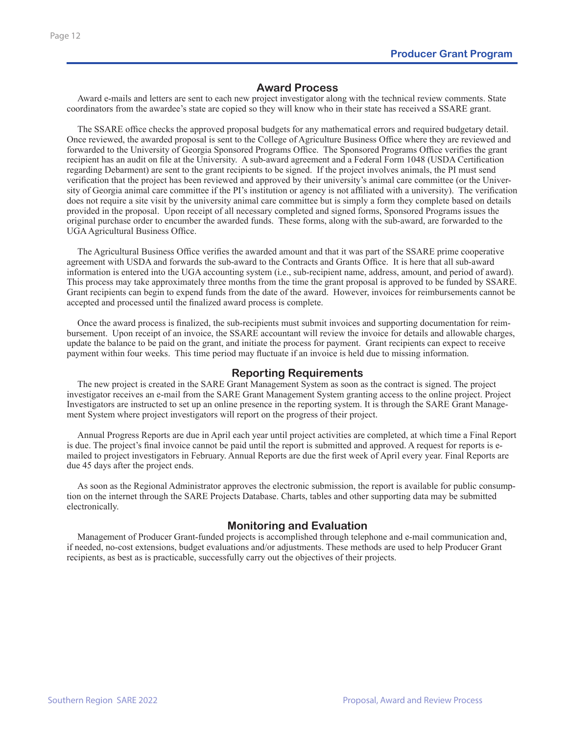## **Award Process**

Award e-mails and letters are sent to each new project investigator along with the technical review comments. State coordinators from the awardee's state are copied so they will know who in their state has received a SSARE grant.

The SSARE office checks the approved proposal budgets for any mathematical errors and required budgetary detail. Once reviewed, the awarded proposal is sent to the College of Agriculture Business Office where they are reviewed and forwarded to the University of Georgia Sponsored Programs Office. The Sponsored Programs Office verifies the grant recipient has an audit on file at the University. A sub-award agreement and a Federal Form 1048 (USDA Certification regarding Debarment) are sent to the grant recipients to be signed. If the project involves animals, the PI must send verification that the project has been reviewed and approved by their university's animal care committee (or the University of Georgia animal care committee if the PI's institution or agency is not affiliated with a university). The verification does not require a site visit by the university animal care committee but is simply a form they complete based on details provided in the proposal. Upon receipt of all necessary completed and signed forms, Sponsored Programs issues the original purchase order to encumber the awarded funds. These forms, along with the sub-award, are forwarded to the UGA Agricultural Business Office.

The Agricultural Business Office verifies the awarded amount and that it was part of the SSARE prime cooperative agreement with USDA and forwards the sub-award to the Contracts and Grants Office. It is here that all sub-award information is entered into the UGA accounting system (i.e., sub-recipient name, address, amount, and period of award). This process may take approximately three months from the time the grant proposal is approved to be funded by SSARE. Grant recipients can begin to expend funds from the date of the award. However, invoices for reimbursements cannot be accepted and processed until the finalized award process is complete.

Once the award process is finalized, the sub-recipients must submit invoices and supporting documentation for reimbursement. Upon receipt of an invoice, the SSARE accountant will review the invoice for details and allowable charges, update the balance to be paid on the grant, and initiate the process for payment. Grant recipients can expect to receive payment within four weeks. This time period may fluctuate if an invoice is held due to missing information.

## **Reporting Requirements**

The new project is created in the SARE Grant Management System as soon as the contract is signed. The project investigator receives an e-mail from the SARE Grant Management System granting access to the online project. Project Investigators are instructed to set up an online presence in the reporting system. It is through the SARE Grant Management System where project investigators will report on the progress of their project.

Annual Progress Reports are due in April each year until project activities are completed, at which time a Final Report is due. The project's final invoice cannot be paid until the report is submitted and approved. A request for reports is emailed to project investigators in February. Annual Reports are due the first week of April every year. Final Reports are due 45 days after the project ends.

As soon as the Regional Administrator approves the electronic submission, the report is available for public consumption on the internet through the SARE Projects Database. Charts, tables and other supporting data may be submitted electronically.

## **Monitoring and Evaluation**

Management of Producer Grant-funded projects is accomplished through telephone and e-mail communication and, if needed, no-cost extensions, budget evaluations and/or adjustments. These methods are used to help Producer Grant recipients, as best as is practicable, successfully carry out the objectives of their projects.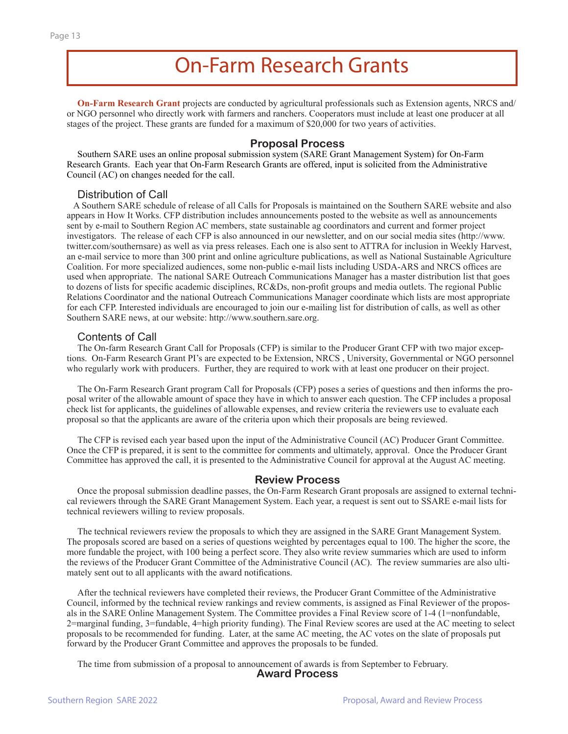## On-Farm Research Grants

**On-Farm Research Grant** projects are conducted by agricultural professionals such as Extension agents, NRCS and/ or NGO personnel who directly work with farmers and ranchers. Cooperators must include at least one producer at all stages of the project. These grants are funded for a maximum of \$20,000 for two years of activities.

### **Proposal Process**

Southern SARE uses an online proposal submission system (SARE Grant Management System) for On-Farm Research Grants. Each year that On-Farm Research Grants are offered, input is solicited from the Administrative Council (AC) on changes needed for the call.

### Distribution of Call

 A Southern SARE schedule of release of all Calls for Proposals is maintained on the Southern SARE website and also appears in How It Works. CFP distribution includes announcements posted to the website as well as announcements sent by e-mail to Southern Region AC members, state sustainable ag coordinators and current and former project investigators. The release of each CFP is also announced in our newsletter, and on our social media sites (http://www. twitter.com/southernsare) as well as via press releases. Each one is also sent to ATTRA for inclusion in Weekly Harvest, an e-mail service to more than 300 print and online agriculture publications, as well as National Sustainable Agriculture Coalition. For more specialized audiences, some non-public e-mail lists including USDA-ARS and NRCS offices are used when appropriate. The national SARE Outreach Communications Manager has a master distribution list that goes to dozens of lists for specific academic disciplines, RC&Ds, non-profit groups and media outlets. The regional Public Relations Coordinator and the national Outreach Communications Manager coordinate which lists are most appropriate for each CFP. Interested individuals are encouraged to join our e-mailing list for distribution of calls, as well as other Southern SARE news, at our website: http://www.southern.sare.org.

#### Contents of Call

The On-farm Research Grant Call for Proposals (CFP) is similar to the Producer Grant CFP with two major exceptions. On-Farm Research Grant PI's are expected to be Extension, NRCS , University, Governmental or NGO personnel who regularly work with producers. Further, they are required to work with at least one producer on their project.

The On-Farm Research Grant program Call for Proposals (CFP) poses a series of questions and then informs the proposal writer of the allowable amount of space they have in which to answer each question. The CFP includes a proposal check list for applicants, the guidelines of allowable expenses, and review criteria the reviewers use to evaluate each proposal so that the applicants are aware of the criteria upon which their proposals are being reviewed.

The CFP is revised each year based upon the input of the Administrative Council (AC) Producer Grant Committee. Once the CFP is prepared, it is sent to the committee for comments and ultimately, approval. Once the Producer Grant Committee has approved the call, it is presented to the Administrative Council for approval at the August AC meeting.

### **Review Process**

Once the proposal submission deadline passes, the On-Farm Research Grant proposals are assigned to external technical reviewers through the SARE Grant Management System. Each year, a request is sent out to SSARE e-mail lists for technical reviewers willing to review proposals.

The technical reviewers review the proposals to which they are assigned in the SARE Grant Management System. The proposals scored are based on a series of questions weighted by percentages equal to 100. The higher the score, the more fundable the project, with 100 being a perfect score. They also write review summaries which are used to inform the reviews of the Producer Grant Committee of the Administrative Council (AC). The review summaries are also ultimately sent out to all applicants with the award notifications.

After the technical reviewers have completed their reviews, the Producer Grant Committee of the Administrative Council, informed by the technical review rankings and review comments, is assigned as Final Reviewer of the proposals in the SARE Online Management System. The Committee provides a Final Review score of 1-4 (1=nonfundable, 2=marginal funding, 3=fundable, 4=high priority funding). The Final Review scores are used at the AC meeting to select proposals to be recommended for funding. Later, at the same AC meeting, the AC votes on the slate of proposals put forward by the Producer Grant Committee and approves the proposals to be funded.

The time from submission of a proposal to announcement of awards is from September to February. **Award Process**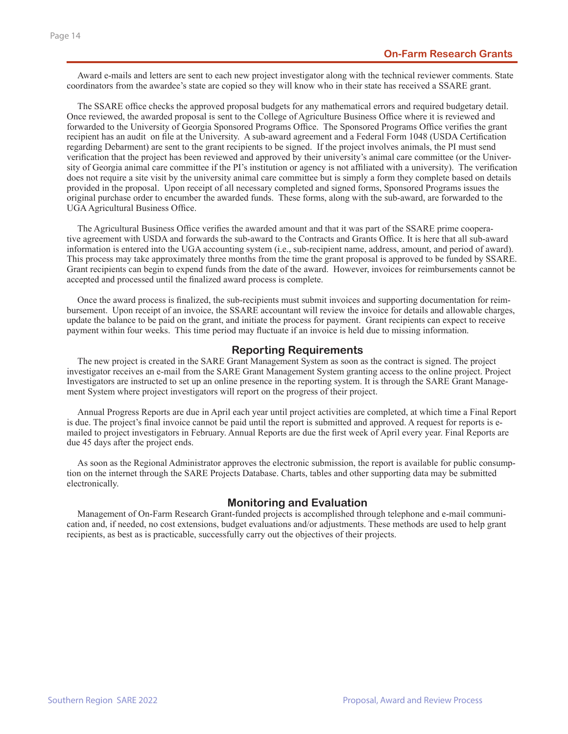Award e-mails and letters are sent to each new project investigator along with the technical reviewer comments. State coordinators from the awardee's state are copied so they will know who in their state has received a SSARE grant.

The SSARE office checks the approved proposal budgets for any mathematical errors and required budgetary detail. Once reviewed, the awarded proposal is sent to the College of Agriculture Business Office where it is reviewed and forwarded to the University of Georgia Sponsored Programs Office. The Sponsored Programs Office verifies the grant recipient has an audit on file at the University. A sub-award agreement and a Federal Form 1048 (USDA Certification regarding Debarment) are sent to the grant recipients to be signed. If the project involves animals, the PI must send verification that the project has been reviewed and approved by their university's animal care committee (or the University of Georgia animal care committee if the PI's institution or agency is not affiliated with a university). The verification does not require a site visit by the university animal care committee but is simply a form they complete based on details provided in the proposal. Upon receipt of all necessary completed and signed forms, Sponsored Programs issues the original purchase order to encumber the awarded funds. These forms, along with the sub-award, are forwarded to the UGA Agricultural Business Office.

The Agricultural Business Office verifies the awarded amount and that it was part of the SSARE prime cooperative agreement with USDA and forwards the sub-award to the Contracts and Grants Office. It is here that all sub-award information is entered into the UGA accounting system (i.e., sub-recipient name, address, amount, and period of award). This process may take approximately three months from the time the grant proposal is approved to be funded by SSARE. Grant recipients can begin to expend funds from the date of the award. However, invoices for reimbursements cannot be accepted and processed until the finalized award process is complete.

Once the award process is finalized, the sub-recipients must submit invoices and supporting documentation for reimbursement. Upon receipt of an invoice, the SSARE accountant will review the invoice for details and allowable charges, update the balance to be paid on the grant, and initiate the process for payment. Grant recipients can expect to receive payment within four weeks. This time period may fluctuate if an invoice is held due to missing information.

### **Reporting Requirements**

The new project is created in the SARE Grant Management System as soon as the contract is signed. The project investigator receives an e-mail from the SARE Grant Management System granting access to the online project. Project Investigators are instructed to set up an online presence in the reporting system. It is through the SARE Grant Management System where project investigators will report on the progress of their project.

Annual Progress Reports are due in April each year until project activities are completed, at which time a Final Report is due. The project's final invoice cannot be paid until the report is submitted and approved. A request for reports is emailed to project investigators in February. Annual Reports are due the first week of April every year. Final Reports are due 45 days after the project ends.

As soon as the Regional Administrator approves the electronic submission, the report is available for public consumption on the internet through the SARE Projects Database. Charts, tables and other supporting data may be submitted electronically.

### **Monitoring and Evaluation**

Management of On-Farm Research Grant-funded projects is accomplished through telephone and e-mail communication and, if needed, no cost extensions, budget evaluations and/or adjustments. These methods are used to help grant recipients, as best as is practicable, successfully carry out the objectives of their projects.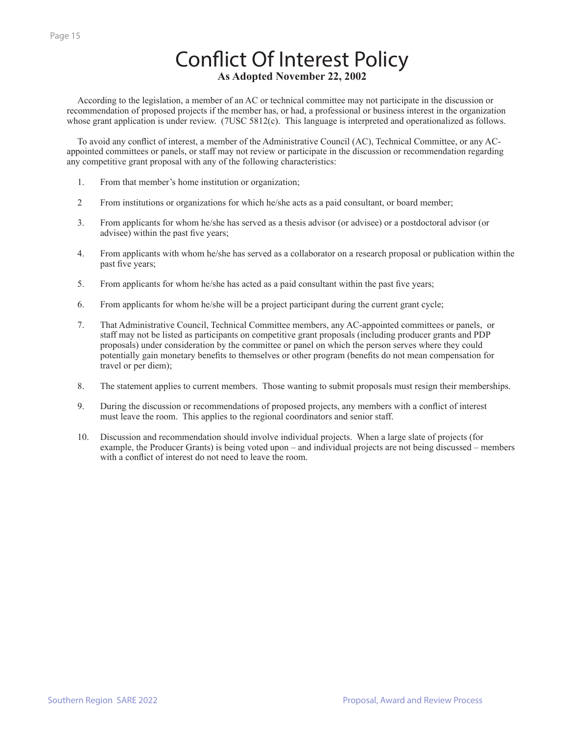## Conflict Of Interest Policy **As Adopted November 22, 2002**

According to the legislation, a member of an AC or technical committee may not participate in the discussion or recommendation of proposed projects if the member has, or had, a professional or business interest in the organization whose grant application is under review. (7USC 5812(c). This language is interpreted and operationalized as follows.

To avoid any conflict of interest, a member of the Administrative Council (AC), Technical Committee, or any ACappointed committees or panels, or staff may not review or participate in the discussion or recommendation regarding any competitive grant proposal with any of the following characteristics:

- 1. From that member's home institution or organization;
- 2 From institutions or organizations for which he/she acts as a paid consultant, or board member;
- 3. From applicants for whom he/she has served as a thesis advisor (or advisee) or a postdoctoral advisor (or advisee) within the past five years;
- 4. From applicants with whom he/she has served as a collaborator on a research proposal or publication within the past five years;
- 5. From applicants for whom he/she has acted as a paid consultant within the past five years;
- 6. From applicants for whom he/she will be a project participant during the current grant cycle;
- 7. That Administrative Council, Technical Committee members, any AC-appointed committees or panels, or staff may not be listed as participants on competitive grant proposals (including producer grants and PDP proposals) under consideration by the committee or panel on which the person serves where they could potentially gain monetary benefits to themselves or other program (benefits do not mean compensation for travel or per diem);
- 8. The statement applies to current members. Those wanting to submit proposals must resign their memberships.
- 9. During the discussion or recommendations of proposed projects, any members with a conflict of interest must leave the room. This applies to the regional coordinators and senior staff.
- 10. Discussion and recommendation should involve individual projects. When a large slate of projects (for example, the Producer Grants) is being voted upon – and individual projects are not being discussed – members with a conflict of interest do not need to leave the room.